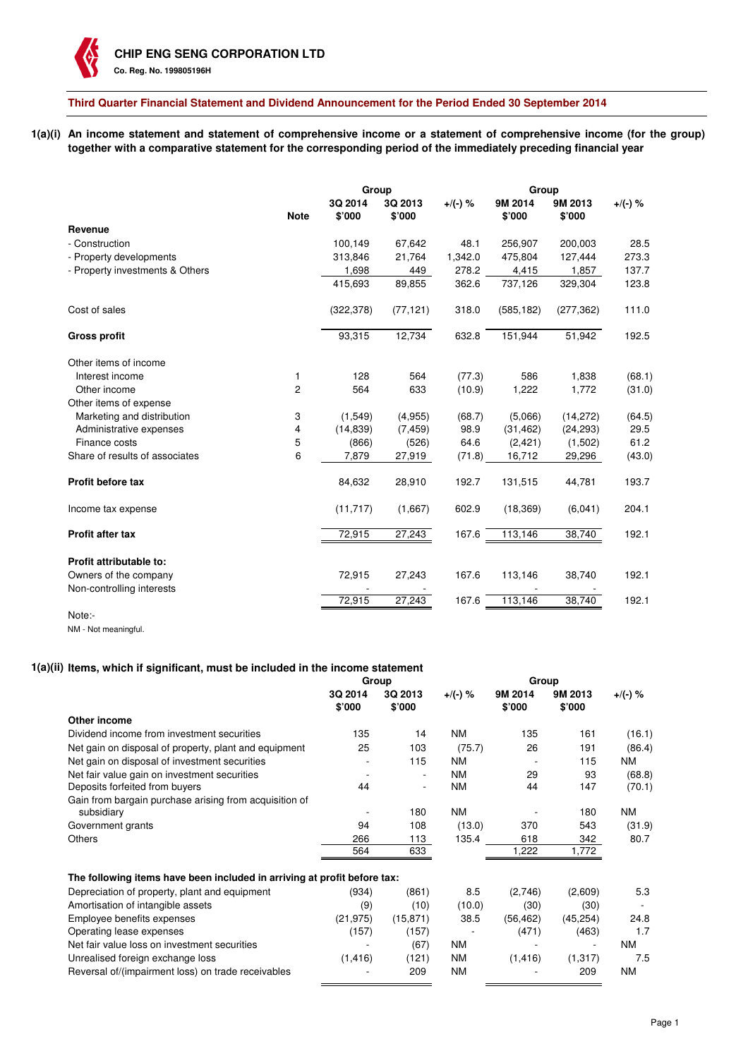**Third Quarter Financial Statement and Dividend Announcement for the Period Ended 30 September 2014**

**1(a)(i) An income statement and statement of comprehensive income or a statement of comprehensive income (for the group) together with a comparative statement for the corresponding period of the immediately preceding financial year**

|                                 | Group       |                   |                   |            | Group             |                   |            |
|---------------------------------|-------------|-------------------|-------------------|------------|-------------------|-------------------|------------|
|                                 | <b>Note</b> | 3Q 2014<br>\$'000 | 3Q 2013<br>\$'000 | $+$ /(-) % | 9M 2014<br>\$'000 | 9M 2013<br>\$'000 | $+$ /(-) % |
| Revenue                         |             |                   |                   |            |                   |                   |            |
| - Construction                  |             | 100,149           | 67,642            | 48.1       | 256,907           | 200,003           | 28.5       |
| - Property developments         |             | 313,846           | 21,764            | 1,342.0    | 475,804           | 127,444           | 273.3      |
| - Property investments & Others |             | 1,698             | 449               | 278.2      | 4,415             | 1,857             | 137.7      |
|                                 |             | 415,693           | 89,855            | 362.6      | 737,126           | 329,304           | 123.8      |
| Cost of sales                   |             | (322, 378)        | (77, 121)         | 318.0      | (585, 182)        | (277, 362)        | 111.0      |
| <b>Gross profit</b>             |             | 93,315            | 12,734            | 632.8      | 151,944           | 51,942            | 192.5      |
| Other items of income           |             |                   |                   |            |                   |                   |            |
| Interest income                 | 1           | 128               | 564               | (77.3)     | 586               | 1,838             | (68.1)     |
| Other income                    | 2           | 564               | 633               | (10.9)     | 1,222             | 1,772             | (31.0)     |
| Other items of expense          |             |                   |                   |            |                   |                   |            |
| Marketing and distribution      | 3           | (1,549)           | (4,955)           | (68.7)     | (5,066)           | (14,272)          | (64.5)     |
| Administrative expenses         | 4           | (14, 839)         | (7, 459)          | 98.9       | (31, 462)         | (24, 293)         | 29.5       |
| Finance costs                   | 5           | (866)             | (526)             | 64.6       | (2, 421)          | (1,502)           | 61.2       |
| Share of results of associates  | 6           | 7,879             | 27,919            | (71.8)     | 16,712            | 29,296            | (43.0)     |
| <b>Profit before tax</b>        |             | 84,632            | 28,910            | 192.7      | 131,515           | 44,781            | 193.7      |
| Income tax expense              |             | (11, 717)         | (1,667)           | 602.9      | (18, 369)         | (6,041)           | 204.1      |
| Profit after tax                |             | 72,915            | 27,243            | 167.6      | 113,146           | 38,740            | 192.1      |
| Profit attributable to:         |             |                   |                   |            |                   |                   |            |
| Owners of the company           |             | 72,915            | 27,243            | 167.6      | 113,146           | 38,740            | 192.1      |
| Non-controlling interests       |             |                   |                   |            |                   |                   |            |
| Note:-                          |             | 72,915            | 27,243            | 167.6      | 113,146           | 38,740            | 192.1      |

NM - Not meaningful.

# **1(a)(ii) Items, which if significant, must be included in the income statement**

|                                                                          | Group             |                          |           | Group             |                   |           |
|--------------------------------------------------------------------------|-------------------|--------------------------|-----------|-------------------|-------------------|-----------|
|                                                                          | 3Q 2014<br>\$'000 | 3Q 2013<br>\$'000        | +/(-) %   | 9M 2014<br>\$'000 | 9M 2013<br>\$'000 | +/(-) %   |
| Other income                                                             |                   |                          |           |                   |                   |           |
| Dividend income from investment securities                               | 135               | 14                       | <b>NM</b> | 135               | 161               | (16.1)    |
| Net gain on disposal of property, plant and equipment                    | 25                | 103                      | (75.7)    | 26                | 191               | (86.4)    |
| Net gain on disposal of investment securities                            |                   | 115                      | <b>NM</b> |                   | 115               | <b>NM</b> |
| Net fair value gain on investment securities                             | ٠                 | $\overline{\phantom{a}}$ | <b>NM</b> | 29                | 93                | (68.8)    |
| Deposits forfeited from buyers                                           | 44                | ٠                        | <b>NM</b> | 44                | 147               | (70.1)    |
| Gain from bargain purchase arising from acquisition of                   |                   |                          |           |                   |                   |           |
| subsidiary                                                               |                   | 180                      | <b>NM</b> |                   | 180               | <b>NM</b> |
| Government grants                                                        | 94                | 108                      | (13.0)    | 370               | 543               | (31.9)    |
| <b>Others</b>                                                            | 266               | 113                      | 135.4     | 618               | 342               | 80.7      |
|                                                                          | 564               | 633                      |           | 222, ا            | 1,772             |           |
| The following items have been included in arriving at profit before tax: |                   |                          |           |                   |                   |           |
| Depreciation of property, plant and equipment                            | (934)             | (861)                    | 8.5       | (2,746)           | (2,609)           | 5.3       |
| Amortisation of intangible assets                                        | (9)               | (10)                     | (10.0)    | (30)              | (30)              |           |
| Employee benefits expenses                                               | (21, 975)         | (15, 871)                | 38.5      | (56, 462)         | (45, 254)         | 24.8      |
| Operating lease expenses                                                 | (157)             | (157)                    |           | (471)             | (463)             | 1.7       |
| Net fair value loss on investment securities                             |                   | (67)                     | <b>NM</b> |                   |                   | NM.       |
| Unrealised foreign exchange loss                                         | (1, 416)          | (121)                    | <b>NM</b> | (1, 416)          | (1,317)           | 7.5       |
| Reversal of/(impairment loss) on trade receivables                       |                   | 209                      | <b>NM</b> |                   | 209               | NM        |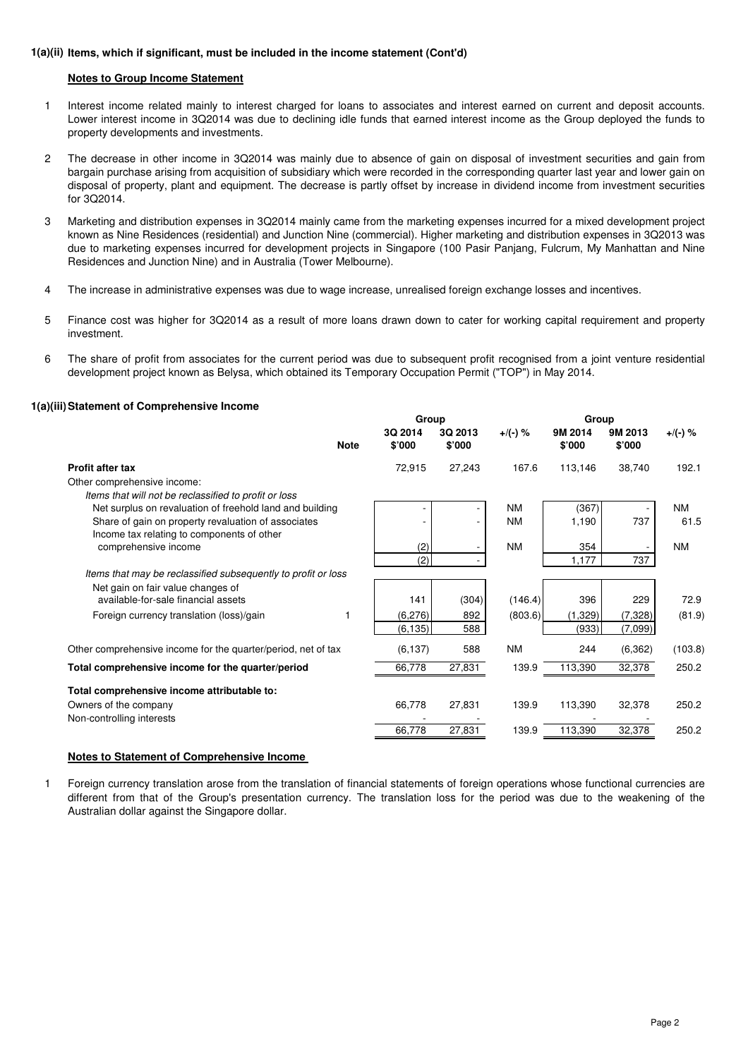## **1(a)(ii) Items, which if significant, must be included in the income statement (Cont'd)**

## **Notes to Group Income Statement**

- 1 Interest income related mainly to interest charged for loans to associates and interest earned on current and deposit accounts. Lower interest income in 3Q2014 was due to declining idle funds that earned interest income as the Group deployed the funds to property developments and investments.
- $\overline{2}$ The decrease in other income in 3Q2014 was mainly due to absence of gain on disposal of investment securities and gain from bargain purchase arising from acquisition of subsidiary which were recorded in the corresponding quarter last year and lower gain on disposal of property, plant and equipment. The decrease is partly offset by increase in dividend income from investment securities for 3Q2014.
- 3 Marketing and distribution expenses in 3Q2014 mainly came from the marketing expenses incurred for a mixed development project known as Nine Residences (residential) and Junction Nine (commercial). Higher marketing and distribution expenses in 3Q2013 was due to marketing expenses incurred for development projects in Singapore (100 Pasir Panjang, Fulcrum, My Manhattan and Nine Residences and Junction Nine) and in Australia (Tower Melbourne).
- 4 The increase in administrative expenses was due to wage increase, unrealised foreign exchange losses and incentives.
- 5 Finance cost was higher for 3Q2014 as a result of more loans drawn down to cater for working capital requirement and property investment.
- 6 The share of profit from associates for the current period was due to subsequent profit recognised from a joint venture residential development project known as Belysa, which obtained its Temporary Occupation Permit ("TOP") in May 2014.

## **1(a)(iii) Statement of Comprehensive Income**

|                                                                          |             | Group             |                              |            |                   | Group             |           |  |
|--------------------------------------------------------------------------|-------------|-------------------|------------------------------|------------|-------------------|-------------------|-----------|--|
|                                                                          | <b>Note</b> | 3Q 2014<br>\$'000 | 3Q 2013<br>\$'000            | $+$ /(-) % | 9M 2014<br>\$'000 | 9M 2013<br>\$'000 | +/(-) %   |  |
| <b>Profit after tax</b>                                                  |             | 72,915            | 27,243                       | 167.6      | 113,146           | 38,740            | 192.1     |  |
| Other comprehensive income:                                              |             |                   |                              |            |                   |                   |           |  |
| Items that will not be reclassified to profit or loss                    |             |                   |                              |            |                   |                   |           |  |
| Net surplus on revaluation of freehold land and building                 |             | ٠                 | $\qquad \qquad \blacksquare$ | <b>NM</b>  | (367)             |                   | <b>NM</b> |  |
| Share of gain on property revaluation of associates                      |             |                   | $\qquad \qquad \blacksquare$ | <b>NM</b>  | 1,190             | 737               | 61.5      |  |
| Income tax relating to components of other                               |             |                   |                              |            |                   |                   |           |  |
| comprehensive income                                                     |             | (2)               | ۰                            | <b>NM</b>  | 354               |                   | <b>NM</b> |  |
|                                                                          |             | (2)               |                              |            | 1,177             | 737               |           |  |
| Items that may be reclassified subsequently to profit or loss            |             |                   |                              |            |                   |                   |           |  |
| Net gain on fair value changes of<br>available-for-sale financial assets |             | 141               | (304)                        | (146.4)    | 396               | 229               | 72.9      |  |
|                                                                          | 1           | (6,276)           | 892                          | (803.6)    | (1, 329)          |                   |           |  |
| Foreign currency translation (loss)/gain                                 |             |                   |                              |            |                   | (7, 328)          | (81.9)    |  |
|                                                                          |             | (6, 135)          | 588                          |            | (933)             | (7,099)           |           |  |
| Other comprehensive income for the quarter/period, net of tax            |             | (6, 137)          | 588                          | <b>NM</b>  | 244               | (6, 362)          | (103.8)   |  |
| Total comprehensive income for the quarter/period                        |             | 66,778            | 27,831                       | 139.9      | 113,390           | 32,378            | 250.2     |  |
| Total comprehensive income attributable to:                              |             |                   |                              |            |                   |                   |           |  |
| Owners of the company                                                    |             | 66,778            | 27,831                       | 139.9      | 113,390           | 32,378            | 250.2     |  |
| Non-controlling interests                                                |             |                   |                              |            |                   |                   |           |  |
|                                                                          |             | 66,778            | 27,831                       | 139.9      | 113,390           | 32,378            | 250.2     |  |
|                                                                          |             |                   |                              |            |                   |                   |           |  |

## **Notes to Statement of Comprehensive Income**

1 Foreign currency translation arose from the translation of financial statements of foreign operations whose functional currencies are different from that of the Group's presentation currency. The translation loss for the period was due to the weakening of the Australian dollar against the Singapore dollar.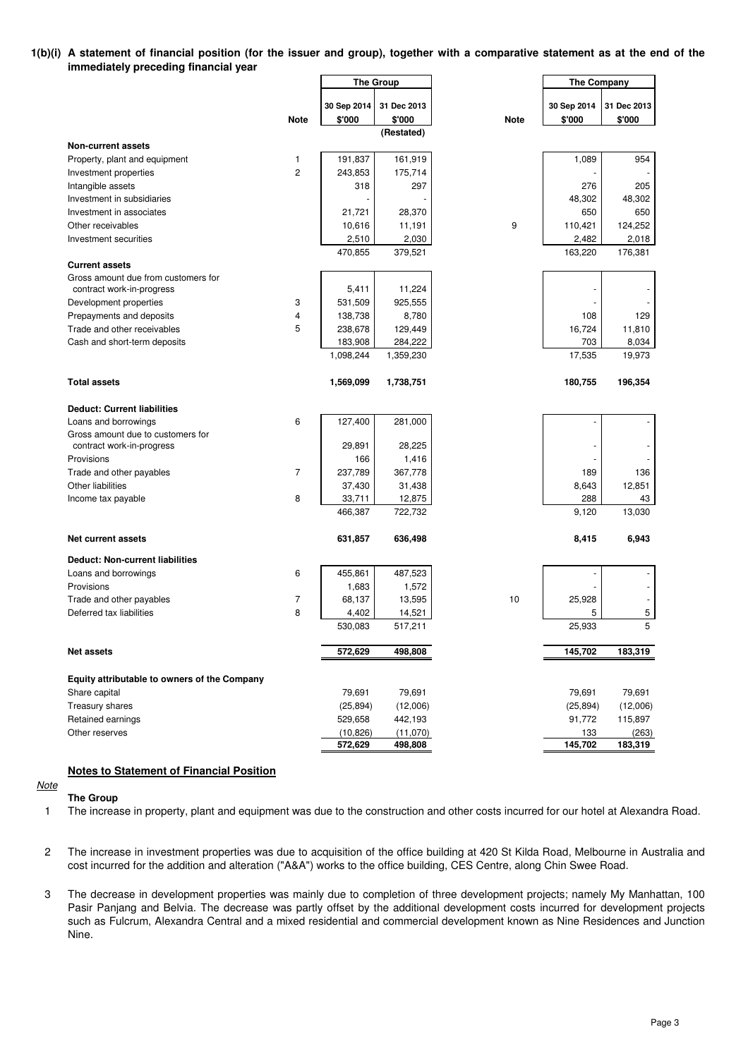## **1(b)(i) A statement of financial position (for the issuer and group), together with a comparative statement as at the end of the immediately preceding financial year**

|                                              |                | The Group   |             |             | <b>The Company</b> |             |  |
|----------------------------------------------|----------------|-------------|-------------|-------------|--------------------|-------------|--|
|                                              |                |             |             |             |                    |             |  |
|                                              |                | 30 Sep 2014 | 31 Dec 2013 |             | 30 Sep 2014        | 31 Dec 2013 |  |
|                                              | <b>Note</b>    | \$'000      | \$'000      | <b>Note</b> | \$'000             | \$'000      |  |
|                                              |                |             | (Restated)  |             |                    |             |  |
| <b>Non-current assets</b>                    |                |             |             |             |                    |             |  |
| Property, plant and equipment                | 1              | 191,837     | 161,919     |             | 1,089              | 954         |  |
| Investment properties                        | $\overline{c}$ | 243,853     | 175,714     |             |                    |             |  |
| Intangible assets                            |                | 318         | 297         |             | 276                | 205         |  |
| Investment in subsidiaries                   |                |             |             |             | 48,302             | 48,302      |  |
| Investment in associates                     |                | 21,721      | 28,370      |             | 650                | 650         |  |
| Other receivables                            |                | 10,616      | 11,191      | 9           | 110,421            | 124,252     |  |
| Investment securities                        |                | 2,510       | 2,030       |             | 2,482              | 2,018       |  |
|                                              |                | 470,855     | 379,521     |             | 163,220            | 176,381     |  |
| <b>Current assets</b>                        |                |             |             |             |                    |             |  |
| Gross amount due from customers for          |                |             |             |             |                    |             |  |
| contract work-in-progress                    |                | 5,411       | 11,224      |             |                    |             |  |
| Development properties                       | 3              | 531,509     | 925,555     |             |                    |             |  |
| Prepayments and deposits                     | $\overline{4}$ | 138,738     | 8,780       |             | 108                | 129         |  |
| Trade and other receivables                  | 5              | 238,678     | 129,449     |             | 16,724             | 11,810      |  |
| Cash and short-term deposits                 |                | 183,908     | 284,222     |             | 703                | 8,034       |  |
|                                              |                | 1,098,244   | 1,359,230   |             | 17,535             | 19,973      |  |
|                                              |                |             |             |             |                    |             |  |
| <b>Total assets</b>                          |                | 1,569,099   | 1,738,751   |             | 180,755            | 196,354     |  |
| <b>Deduct: Current liabilities</b>           |                |             |             |             |                    |             |  |
| Loans and borrowings                         | 6              | 127,400     | 281,000     |             |                    |             |  |
| Gross amount due to customers for            |                |             |             |             |                    |             |  |
| contract work-in-progress                    |                | 29,891      | 28,225      |             |                    |             |  |
| Provisions                                   |                | 166         | 1,416       |             |                    |             |  |
| Trade and other payables                     | 7              | 237,789     | 367,778     |             | 189                | 136         |  |
| Other liabilities                            |                | 37,430      | 31,438      |             | 8,643              | 12,851      |  |
| Income tax payable                           | 8              | 33,711      | 12,875      |             | 288                | 43          |  |
|                                              |                | 466,387     | 722,732     |             | 9,120              | 13,030      |  |
|                                              |                |             |             |             |                    |             |  |
| <b>Net current assets</b>                    |                | 631,857     | 636,498     |             | 8,415              | 6,943       |  |
| <b>Deduct: Non-current liabilities</b>       |                |             |             |             |                    |             |  |
| Loans and borrowings                         | 6              | 455,861     | 487,523     |             |                    |             |  |
| Provisions                                   |                | 1,683       | 1,572       |             |                    |             |  |
| Trade and other payables                     | 7              | 68,137      | 13,595      | 10          | 25,928             |             |  |
| Deferred tax liabilities                     | 8              | 4,402       | 14,521      |             | 5                  | 5           |  |
|                                              |                | 530,083     | 517,211     |             | 25,933             | 5           |  |
|                                              |                |             |             |             |                    |             |  |
| <b>Net assets</b>                            |                | 572,629     | 498,808     |             | 145,702            | 183,319     |  |
|                                              |                |             |             |             |                    |             |  |
| Equity attributable to owners of the Company |                |             |             |             |                    |             |  |
| Share capital                                |                | 79,691      | 79,691      |             | 79,691             | 79,691      |  |
| Treasury shares                              |                | (25, 894)   | (12,006)    |             | (25, 894)          | (12,006)    |  |
| Retained earnings                            |                | 529,658     | 442,193     |             | 91,772             | 115,897     |  |
| Other reserves                               |                | (10, 826)   | (11,070)    |             | 133                | (263)       |  |
|                                              |                | 572,629     | 498,808     |             | 145,702            | 183,319     |  |

**Notes to Statement of Financial Position**

## **Note**

**The Group**

1 The increase in property, plant and equipment was due to the construction and other costs incurred for our hotel at Alexandra Road.

- 2 The increase in investment properties was due to acquisition of the office building at 420 St Kilda Road, Melbourne in Australia and cost incurred for the addition and alteration ("A&A") works to the office building, CES Centre, along Chin Swee Road.
- 3 The decrease in development properties was mainly due to completion of three development projects; namely My Manhattan, 100 Pasir Panjang and Belvia. The decrease was partly offset by the additional development costs incurred for development projects such as Fulcrum, Alexandra Central and a mixed residential and commercial development known as Nine Residences and Junction Nine.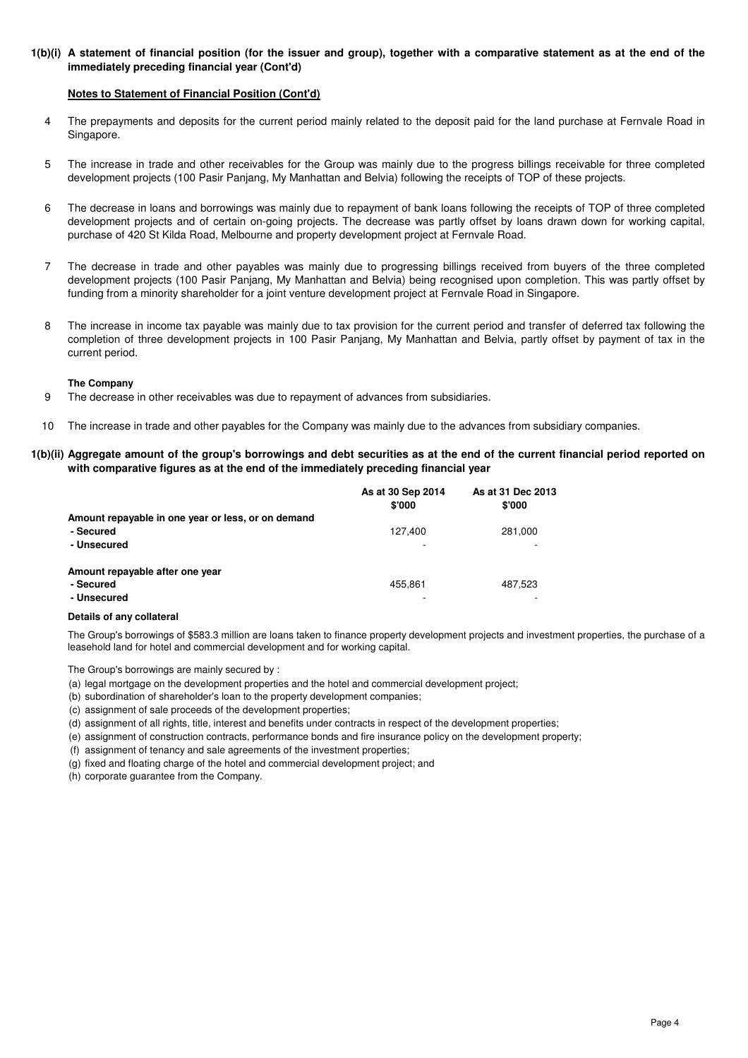## **1(b)(i) A statement of financial position (for the issuer and group), together with a comparative statement as at the end of the immediately preceding financial year (Cont'd)**

## **Notes to Statement of Financial Position (Cont'd)**

- 4 The prepayments and deposits for the current period mainly related to the deposit paid for the land purchase at Fernvale Road in Singapore.
- 5 The increase in trade and other receivables for the Group was mainly due to the progress billings receivable for three completed development projects (100 Pasir Panjang, My Manhattan and Belvia) following the receipts of TOP of these projects.
- 6 The decrease in loans and borrowings was mainly due to repayment of bank loans following the receipts of TOP of three completed development projects and of certain on-going projects. The decrease was partly offset by loans drawn down for working capital, purchase of 420 St Kilda Road, Melbourne and property development project at Fernvale Road.
- 7 The decrease in trade and other payables was mainly due to progressing billings received from buyers of the three completed development projects (100 Pasir Panjang, My Manhattan and Belvia) being recognised upon completion. This was partly offset by funding from a minority shareholder for a joint venture development project at Fernvale Road in Singapore.
- 8 The increase in income tax payable was mainly due to tax provision for the current period and transfer of deferred tax following the completion of three development projects in 100 Pasir Panjang, My Manhattan and Belvia, partly offset by payment of tax in the current period.

#### **The Company**

- 9 The decrease in other receivables was due to repayment of advances from subsidiaries.
- 10 The increase in trade and other payables for the Company was mainly due to the advances from subsidiary companies.

## **1(b)(ii) Aggregate amount of the group's borrowings and debt securities as at the end of the current financial period reported on with comparative figures as at the end of the immediately preceding financial year**

|                                                    | As at 30 Sep 2014<br>\$'000 | As at 31 Dec 2013<br>\$'000 |
|----------------------------------------------------|-----------------------------|-----------------------------|
| Amount repayable in one year or less, or on demand |                             |                             |
| - Secured                                          | 127.400                     | 281,000                     |
| - Unsecured                                        |                             |                             |
| Amount repayable after one year                    |                             |                             |
| - Secured                                          | 455.861                     | 487,523                     |
| - Unsecured                                        |                             |                             |

#### **Details of any collateral**

The Group's borrowings of \$583.3 million are loans taken to finance property development projects and investment properties, the purchase of a leasehold land for hotel and commercial development and for working capital.

The Group's borrowings are mainly secured by :

- (a) legal mortgage on the development properties and the hotel and commercial development project;
- (b) subordination of shareholder's loan to the property development companies;
- (c) assignment of sale proceeds of the development properties;
- (d) assignment of all rights, title, interest and benefits under contracts in respect of the development properties;
- (e) assignment of construction contracts, performance bonds and fire insurance policy on the development property;
- (f) assignment of tenancy and sale agreements of the investment properties;
- (g) fixed and floating charge of the hotel and commercial development project; and
- (h) corporate guarantee from the Company.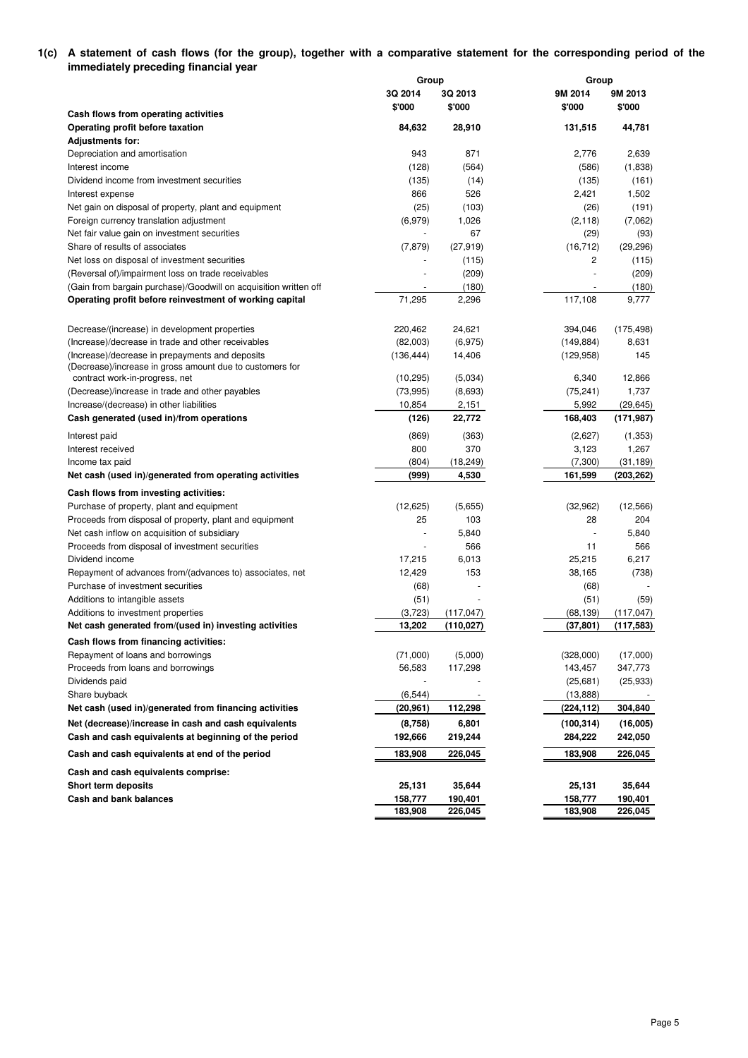## **1(c) A statement of cash flows (for the group), together with a comparative statement for the corresponding period of the immediately preceding financial year**

|                                                                  | Group                |              |            | Group        |  |  |  |
|------------------------------------------------------------------|----------------------|--------------|------------|--------------|--|--|--|
|                                                                  | 3Q 2014              | 3Q 2013      | 9M 2014    | 9M 2013      |  |  |  |
|                                                                  | \$'000               | \$'000       | \$'000     | \$'000       |  |  |  |
| Cash flows from operating activities                             |                      |              |            |              |  |  |  |
| Operating profit before taxation                                 | 84,632               | 28,910       | 131,515    | 44,781       |  |  |  |
| <b>Adjustments for:</b>                                          |                      |              | 2.776      |              |  |  |  |
| Depreciation and amortisation                                    | 943                  | 871          |            | 2,639        |  |  |  |
| Interest income                                                  | (128)                | (564)        | (586)      | (1,838)      |  |  |  |
| Dividend income from investment securities                       | (135)                | (14)<br>526  | (135)      | (161)        |  |  |  |
| Interest expense                                                 | 866                  |              | 2,421      | 1,502        |  |  |  |
| Net gain on disposal of property, plant and equipment            | (25)                 | (103)        | (26)       | (191)        |  |  |  |
| Foreign currency translation adjustment                          | (6,979)              | 1,026        | (2, 118)   | (7,062)      |  |  |  |
| Net fair value gain on investment securities                     |                      | 67           | (29)       | (93)         |  |  |  |
| Share of results of associates                                   | (7, 879)             | (27, 919)    | (16, 712)  | (29, 296)    |  |  |  |
| Net loss on disposal of investment securities                    |                      | (115)        | 2          | (115)        |  |  |  |
| (Reversal of)/impairment loss on trade receivables               |                      | (209)        |            | (209)        |  |  |  |
| (Gain from bargain purchase)/Goodwill on acquisition written off |                      | (180)        |            | (180)        |  |  |  |
| Operating profit before reinvestment of working capital          | 71,295               | 2,296        | 117,108    | 9,777        |  |  |  |
| Decrease/(increase) in development properties                    | 220,462              | 24,621       | 394,046    | (175, 498)   |  |  |  |
| (Increase)/decrease in trade and other receivables               |                      |              | (149, 884) |              |  |  |  |
| (Increase)/decrease in prepayments and deposits                  | (82,003)             | (6, 975)     |            | 8,631<br>145 |  |  |  |
| (Decrease)/increase in gross amount due to customers for         | (136, 444)           | 14,406       | (129, 958) |              |  |  |  |
| contract work-in-progress, net                                   | (10, 295)            | (5,034)      | 6,340      | 12,866       |  |  |  |
| (Decrease)/increase in trade and other payables                  | (73, 995)            | (8,693)      | (75, 241)  | 1,737        |  |  |  |
| Increase/(decrease) in other liabilities                         | 10,854               | 2,151        | 5,992      | (29, 645)    |  |  |  |
| Cash generated (used in)/from operations                         | (126)                | 22,772       | 168,403    | (171, 987)   |  |  |  |
| Interest paid                                                    | (869)                | (363)        | (2,627)    | (1,353)      |  |  |  |
| Interest received                                                | 800                  | 370          | 3,123      | 1,267        |  |  |  |
| Income tax paid                                                  | (804)                | (18, 249)    | (7,300)    | (31, 189)    |  |  |  |
| Net cash (used in)/generated from operating activities           | (999)                | 4,530        | 161,599    | (203, 262)   |  |  |  |
|                                                                  |                      |              |            |              |  |  |  |
| Cash flows from investing activities:                            | (12, 625)            | (5,655)      | (32,962)   | (12, 566)    |  |  |  |
| Purchase of property, plant and equipment                        | 25                   | 103          | 28         | 204          |  |  |  |
| Proceeds from disposal of property, plant and equipment          | $\blacksquare$       |              | ÷,         | 5,840        |  |  |  |
| Net cash inflow on acquisition of subsidiary                     | $\ddot{\phantom{1}}$ | 5,840<br>566 | 11         | 566          |  |  |  |
| Proceeds from disposal of investment securities                  |                      |              |            |              |  |  |  |
| Dividend income                                                  | 17,215               | 6,013        | 25,215     | 6,217        |  |  |  |
| Repayment of advances from/(advances to) associates, net         | 12,429               | 153          | 38,165     | (738)        |  |  |  |
| Purchase of investment securities                                | (68)                 |              | (68)       |              |  |  |  |
| Additions to intangible assets                                   | (51)                 |              | (51)       | (59)         |  |  |  |
| Additions to investment properties                               | (3,723)              | (117, 047)   | (68, 139)  | (117, 047)   |  |  |  |
| Net cash generated from/(used in) investing activities           | 13,202               | (110,027)    | (37, 801)  | (117, 583)   |  |  |  |
| Cash flows from financing activities:                            |                      |              |            |              |  |  |  |
| Repayment of loans and borrowings                                | (71,000)             | (5,000)      | (328,000)  | (17,000)     |  |  |  |
| Proceeds from loans and borrowings                               | 56,583               | 117,298      | 143,457    | 347,773      |  |  |  |
| Dividends paid                                                   |                      |              | (25,681)   | (25, 933)    |  |  |  |
| Share buyback                                                    | (6, 544)             |              | (13, 888)  |              |  |  |  |
| Net cash (used in)/generated from financing activities           | (20, 961)            | 112,298      | (224,112)  | 304,840      |  |  |  |
| Net (decrease)/increase in cash and cash equivalents             | (8,758)              | 6,801        | (100, 314) | (16,005)     |  |  |  |
| Cash and cash equivalents at beginning of the period             | 192,666              | 219,244      | 284,222    | 242,050      |  |  |  |
| Cash and cash equivalents at end of the period                   | 183,908              | 226,045      | 183,908    | 226,045      |  |  |  |
| Cash and cash equivalents comprise:                              |                      |              |            |              |  |  |  |
| <b>Short term deposits</b>                                       | 25,131               | 35,644       | 25,131     | 35,644       |  |  |  |
| Cash and bank balances                                           | 158,777              | 190,401      | 158,777    | 190,401      |  |  |  |
|                                                                  | 183,908              | 226,045      | 183,908    | 226,045      |  |  |  |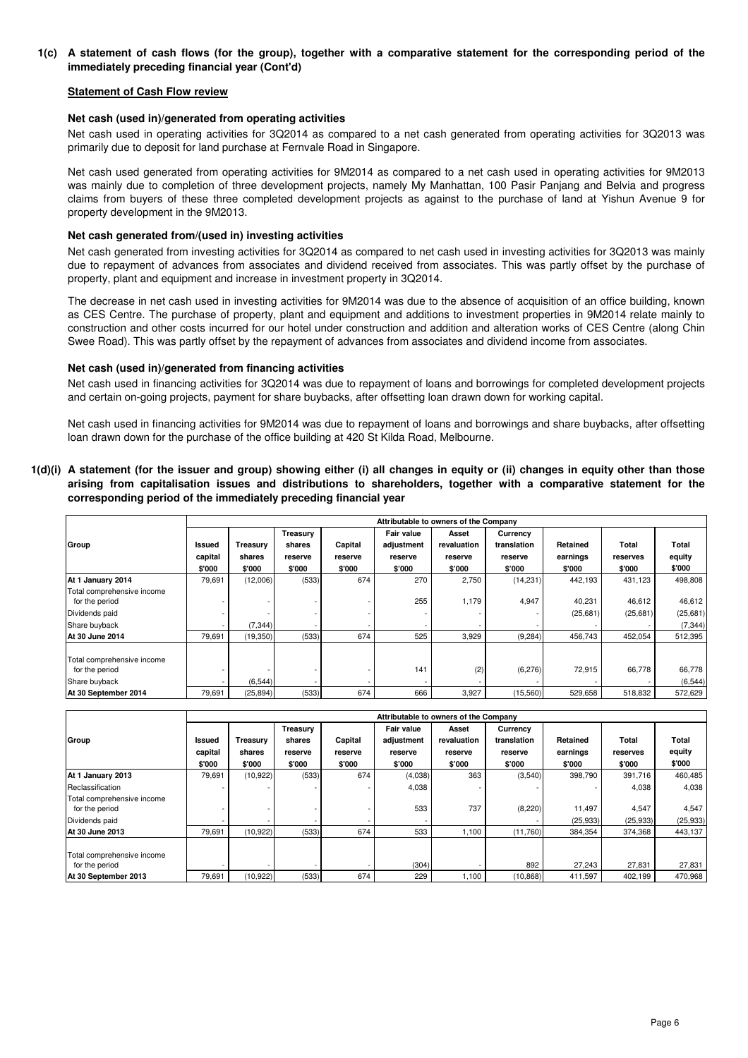## **1(c) A statement of cash flows (for the group), together with a comparative statement for the corresponding period of the immediately preceding financial year (Cont'd)**

## **Statement of Cash Flow review**

## **Net cash (used in)/generated from operating activities**

Net cash used in operating activities for 3Q2014 as compared to a net cash generated from operating activities for 3Q2013 was primarily due to deposit for land purchase at Fernvale Road in Singapore.

Net cash used generated from operating activities for 9M2014 as compared to a net cash used in operating activities for 9M2013 was mainly due to completion of three development projects, namely My Manhattan, 100 Pasir Panjang and Belvia and progress claims from buyers of these three completed development projects as against to the purchase of land at Yishun Avenue 9 for property development in the 9M2013.

## **Net cash generated from/(used in) investing activities**

Net cash generated from investing activities for 3Q2014 as compared to net cash used in investing activities for 3Q2013 was mainly due to repayment of advances from associates and dividend received from associates. This was partly offset by the purchase of property, plant and equipment and increase in investment property in 3Q2014.

The decrease in net cash used in investing activities for 9M2014 was due to the absence of acquisition of an office building, known as CES Centre. The purchase of property, plant and equipment and additions to investment properties in 9M2014 relate mainly to construction and other costs incurred for our hotel under construction and addition and alteration works of CES Centre (along Chin Swee Road). This was partly offset by the repayment of advances from associates and dividend income from associates.

## **Net cash (used in)/generated from financing activities**

Net cash used in financing activities for 3Q2014 was due to repayment of loans and borrowings for completed development projects and certain on-going projects, payment for share buybacks, after offsetting loan drawn down for working capital.

Net cash used in financing activities for 9M2014 was due to repayment of loans and borrowings and share buybacks, after offsetting loan drawn down for the purchase of the office building at 420 St Kilda Road, Melbourne.

## **1(d)(i) A statement (for the issuer and group) showing either (i) all changes in equity or (ii) changes in equity other than those arising from capitalisation issues and distributions to shareholders, together with a comparative statement for the corresponding period of the immediately preceding financial year**

|                                              |                          | Attributable to owners of the Company |                 |         |            |             |             |           |          |          |
|----------------------------------------------|--------------------------|---------------------------------------|-----------------|---------|------------|-------------|-------------|-----------|----------|----------|
|                                              |                          |                                       | <b>Treasury</b> |         | Fair value | Asset       | Currency    |           |          |          |
| Group                                        | Issued                   | Treasury                              | shares          | Capital | adjustment | revaluation | translation | Retained  | Total    | Total    |
|                                              | capital                  | shares                                | reserve         | reserve | reserve    | reserve     | reserve     | earnings  | reserves | equity   |
|                                              | \$'000                   | \$'000                                | \$'000          | \$'000  | \$'000     | \$'000      | \$'000      | \$'000    | \$'000   | \$'000   |
| At 1 January 2014                            | 79,691                   | (12,006)                              | (533)           | 674     | 270        | 2,750       | (14, 231)   | 442,193   | 431,123  | 498,808  |
| Total comprehensive income<br>for the period |                          |                                       |                 |         | 255        | 1,179       | 4,947       | 40,231    | 46,612   | 46,612   |
| Dividends paid                               |                          |                                       |                 |         |            |             |             | (25, 681) | (25,681) | (25,681) |
| Share buyback                                | $\overline{\phantom{a}}$ | (7, 344)                              |                 |         |            |             |             |           |          | (7, 344) |
| At 30 June 2014                              | 79,691                   | (19, 350)                             | (533)           | 674     | 525        | 3,929       | (9, 284)    | 456.743   | 452,054  | 512,395  |
| Total comprehensive income<br>for the period |                          |                                       |                 |         | 141        | (2)         | (6, 276)    | 72,915    | 66,778   | 66,778   |
| Share buyback                                |                          | (6, 544)                              |                 |         |            |             |             |           |          | (6, 544) |
| At 30 September 2014                         | 79,691                   | (25, 894)                             | (533)           | 674     | 666        | 3,927       | (15,560)    | 529,658   | 518.832  | 572,629  |

|                            |         | Attributable to owners of the Company |          |         |                   |             |             |          |          |           |
|----------------------------|---------|---------------------------------------|----------|---------|-------------------|-------------|-------------|----------|----------|-----------|
|                            |         |                                       | Treasury |         | <b>Fair value</b> | Asset       | Currency    |          |          |           |
| Group                      | Issued  | Treasury                              | shares   | Capital | adjustment        | revaluation | translation | Retained | Total    | Total     |
|                            | capital | shares                                | reserve  | reserve | reserve           | reserve     | reserve     | earnings | reserves | equity    |
|                            | \$'000  | \$'000                                | \$'000   | \$'000  | \$'000            | \$'000      | \$'000      | \$'000   | \$'000   | \$'000    |
| At 1 January 2013          | 79,691  | (10, 922)                             | (533)    | 674     | (4,038)           | 363         | (3,540)     | 398,790  | 391,716  | 460,485   |
| Reclassification           |         |                                       |          |         | 4,038             |             |             |          | 4,038    | 4,038     |
| Total comprehensive income |         |                                       |          |         |                   |             |             |          |          |           |
| for the period             |         |                                       |          |         | 533               | 737         | (8, 220)    | 11,497   | 4,547    | 4,547     |
| Dividends paid             |         |                                       |          |         |                   |             |             | (25,933) | (25,933) | (25, 933) |
| At 30 June 2013            | 79,691  | (10, 922)                             | (533)    | 674     | 533               | 1,100       | (11,760)    | 384,354  | 374,368  | 443,137   |
|                            |         |                                       |          |         |                   |             |             |          |          |           |
| Total comprehensive income |         |                                       |          |         |                   |             |             |          |          |           |
| for the period             |         |                                       |          |         | (304)             |             | 892         | 27,243   | 27,831   | 27,831    |
| At 30 September 2013       | 79.691  | (10, 922)                             | (533)    | 674     | 229               | 1,100       | (10, 868)   | 411,597  | 402.199  | 470,968   |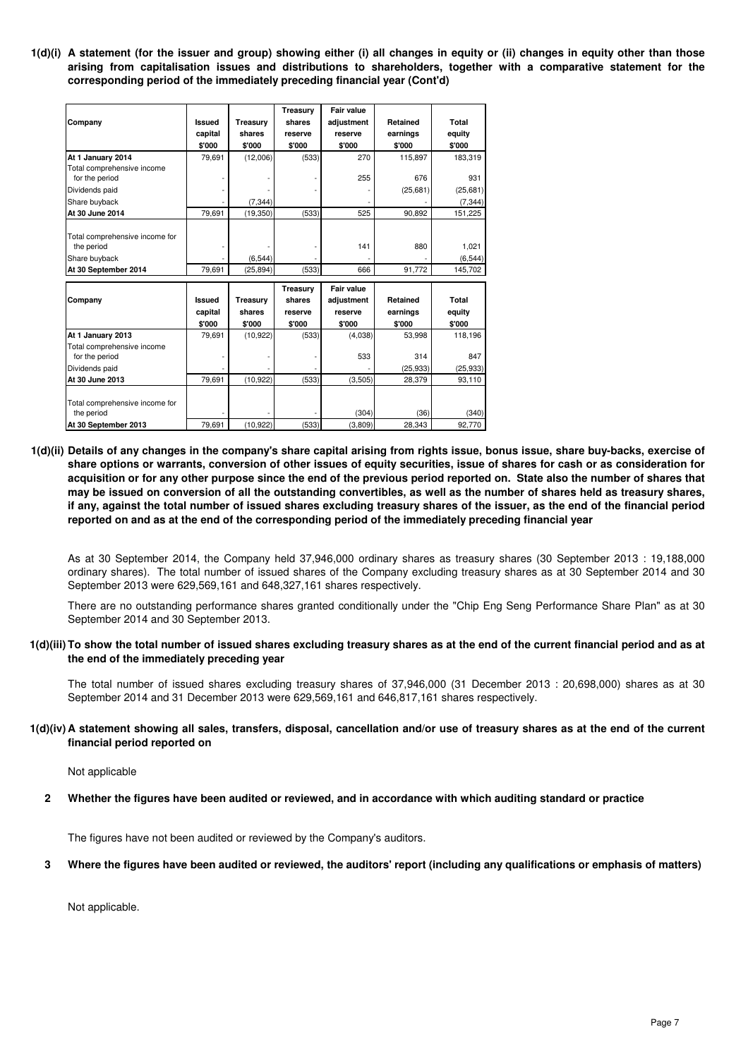**1(d)(i) A statement (for the issuer and group) showing either (i) all changes in equity or (ii) changes in equity other than those arising from capitalisation issues and distributions to shareholders, together with a comparative statement for the corresponding period of the immediately preceding financial year (Cont'd)**

|                                              |               |           | Treasury        | <b>Fair value</b> |           |           |
|----------------------------------------------|---------------|-----------|-----------------|-------------------|-----------|-----------|
| Company                                      | Issued        | Treasury  | shares          | adjustment        | Retained  | Total     |
|                                              | capital       | shares    | reserve         | reserve           | earnings  | equity    |
|                                              | \$'000        | \$'000    | \$'000          | \$'000            | \$'000    | \$'000    |
| At 1 January 2014                            | 79,691        | (12,006)  | (533)           | 270               | 115,897   | 183,319   |
| Total comprehensive income<br>for the period |               |           |                 | 255               | 676       | 931       |
| Dividends paid                               |               |           |                 |                   | (25,681)  | (25, 681) |
| Share buyback                                |               | (7, 344)  |                 |                   |           | (7, 344)  |
| At 30 June 2014                              | 79,691        | (19, 350) | (533)           | 525               | 90,892    | 151,225   |
| Total comprehensive income for<br>the period |               |           |                 | 141               | 880       | 1,021     |
| Share buyback                                |               | (6, 544)  |                 |                   |           | (6, 544)  |
| At 30 September 2014                         | 79,691        | (25, 894) | (533)           | 666               | 91,772    | 145,702   |
|                                              |               |           | <b>Treasury</b> | Fair value        |           |           |
| Company                                      | <b>Issued</b> | Treasury  | shares          | adjustment        | Retained  | Total     |
|                                              | capital       | shares    | reserve         | reserve           | earnings  | equity    |
|                                              | \$'000        | \$'000    | \$'000          | \$'000            | \$'000    | \$'000    |
| At 1 January 2013                            | 79,691        | (10, 922) | (533)           | (4,038)           | 53,998    | 118,196   |
| Total comprehensive income<br>for the period |               |           |                 | 533               | 314       | 847       |
| Dividends paid                               |               |           |                 |                   | (25, 933) | (25, 933) |
| At 30 June 2013                              | 79,691        | (10, 922) | (533)           | (3,505)           | 28,379    | 93,110    |
|                                              |               |           |                 |                   |           |           |
| Total comprehensive income for<br>the period |               |           |                 | (304)             | (36)      | (340)     |
| At 30 September 2013                         | 79,691        | (10, 922) | (533)           | (3,809)           | 28,343    | 92,770    |

**1(d)(ii) Details of any changes in the company's share capital arising from rights issue, bonus issue, share buy-backs, exercise of share options or warrants, conversion of other issues of equity securities, issue of shares for cash or as consideration for acquisition or for any other purpose since the end of the previous period reported on. State also the number of shares that may be issued on conversion of all the outstanding convertibles, as well as the number of shares held as treasury shares, if any, against the total number of issued shares excluding treasury shares of the issuer, as the end of the financial period reported on and as at the end of the corresponding period of the immediately preceding financial year**

As at 30 September 2014, the Company held 37,946,000 ordinary shares as treasury shares (30 September 2013 : 19,188,000 ordinary shares). The total number of issued shares of the Company excluding treasury shares as at 30 September 2014 and 30 September 2013 were 629,569,161 and 648,327,161 shares respectively.

There are no outstanding performance shares granted conditionally under the "Chip Eng Seng Performance Share Plan" as at 30 September 2014 and 30 September 2013.

## **1(d)(iii) To show the total number of issued shares excluding treasury shares as at the end of the current financial period and as at the end of the immediately preceding year**

The total number of issued shares excluding treasury shares of 37,946,000 (31 December 2013 : 20,698,000) shares as at 30 September 2014 and 31 December 2013 were 629,569,161 and 646,817,161 shares respectively.

## **1(d)(iv) A statement showing all sales, transfers, disposal, cancellation and/or use of treasury shares as at the end of the current financial period reported on**

Not applicable

**2 Whether the figures have been audited or reviewed, and in accordance with which auditing standard or practice**

The figures have not been audited or reviewed by the Company's auditors.

#### **3 Where the figures have been audited or reviewed, the auditors' report (including any qualifications or emphasis of matters)**

Not applicable.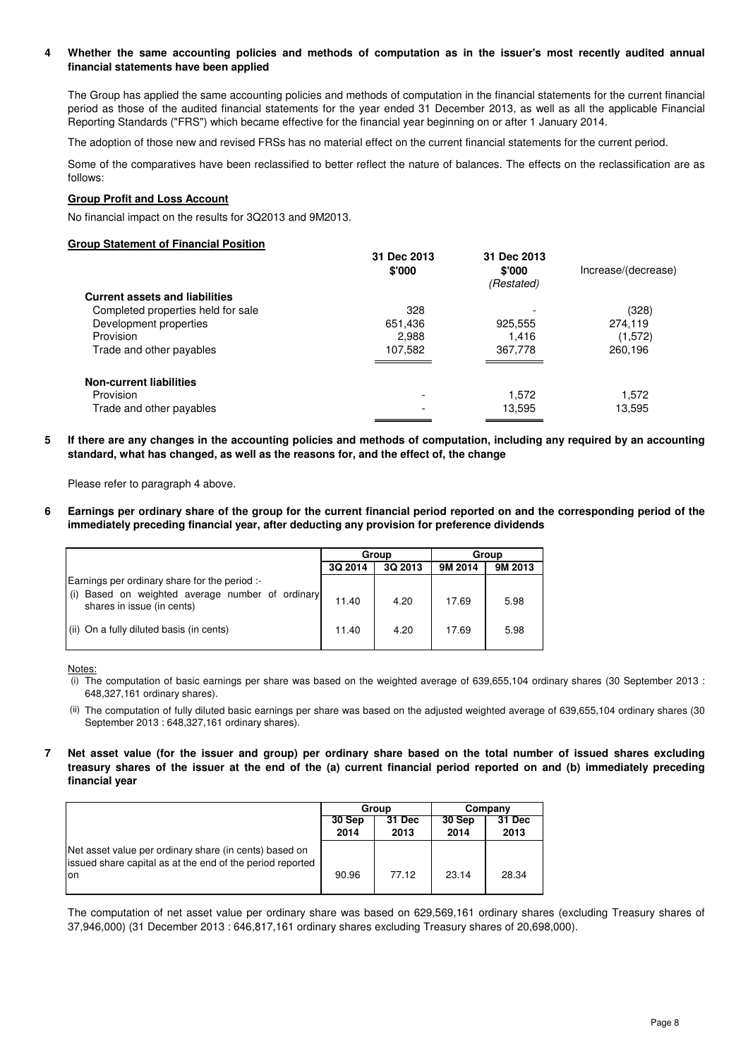#### **4 Whether the same accounting policies and methods of computation as in the issuer's most recently audited annual financial statements have been applied**

The Group has applied the same accounting policies and methods of computation in the financial statements for the current financial period as those of the audited financial statements for the year ended 31 December 2013, as well as all the applicable Financial Reporting Standards ("FRS") which became effective for the financial year beginning on or after 1 January 2014.

The adoption of those new and revised FRSs has no material effect on the current financial statements for the current period.

Some of the comparatives have been reclassified to better reflect the nature of balances. The effects on the reclassification are as follows:

## **Group Profit and Loss Account**

No financial impact on the results for 3Q2013 and 9M2013.

## **Group Statement of Financial Position**

|                                       | 31 Dec 2013<br>\$'000 | 31 Dec 2013<br>\$'000<br>(Restated) | Increase/(decrease) |
|---------------------------------------|-----------------------|-------------------------------------|---------------------|
| <b>Current assets and liabilities</b> |                       |                                     |                     |
| Completed properties held for sale    | 328                   |                                     | (328)               |
| Development properties                | 651,436               | 925,555                             | 274,119             |
| Provision                             | 2,988                 | 1.416                               | (1,572)             |
| Trade and other payables              | 107,582               | 367,778                             | 260,196             |
| <b>Non-current liabilities</b>        |                       |                                     |                     |
| Provision                             |                       | 1.572                               | 1,572               |
| Trade and other payables              |                       | 13,595                              | 13,595              |
|                                       |                       |                                     |                     |

**5 If there are any changes in the accounting policies and methods of computation, including any required by an accounting standard, what has changed, as well as the reasons for, and the effect of, the change**

Please refer to paragraph 4 above.

**6 Earnings per ordinary share of the group for the current financial period reported on and the corresponding period of the immediately preceding financial year, after deducting any provision for preference dividends**

|                                                                                   |         | Group   | Group   |         |  |
|-----------------------------------------------------------------------------------|---------|---------|---------|---------|--|
|                                                                                   | 3Q 2014 | 3Q 2013 | 9M 2014 | 9M 2013 |  |
| Earnings per ordinary share for the period :-                                     |         |         |         |         |  |
| Based on weighted average number of ordinary<br>(i)<br>shares in issue (in cents) | 11.40   | 4.20    | 17.69   | 5.98    |  |
| (ii) On a fully diluted basis (in cents)                                          | 11.40   | 4.20    | 17.69   | 5.98    |  |

Notes:

- (i) The computation of basic earnings per share was based on the weighted average of 639,655,104 ordinary shares (30 September 2013 : 648,327,161 ordinary shares).
- (ii) The computation of fully diluted basic earnings per share was based on the adjusted weighted average of 639,655,104 ordinary shares (30 September 2013 : 648,327,161 ordinary shares).
- **7 Net asset value (for the issuer and group) per ordinary share based on the total number of issued shares excluding treasury shares of the issuer at the end of the (a) current financial period reported on and (b) immediately preceding financial year**

|                                                                                                                            |                | Group          | Company        |                |  |
|----------------------------------------------------------------------------------------------------------------------------|----------------|----------------|----------------|----------------|--|
|                                                                                                                            | 30 Sep<br>2014 | 31 Dec<br>2013 | 30 Sep<br>2014 | 31 Dec<br>2013 |  |
| Net asset value per ordinary share (in cents) based on<br>issued share capital as at the end of the period reported<br>Ion | 90.96          | 77.12          | 23.14          | 28.34          |  |

The computation of net asset value per ordinary share was based on 629,569,161 ordinary shares (excluding Treasury shares of 37,946,000) (31 December 2013 : 646,817,161 ordinary shares excluding Treasury shares of 20,698,000).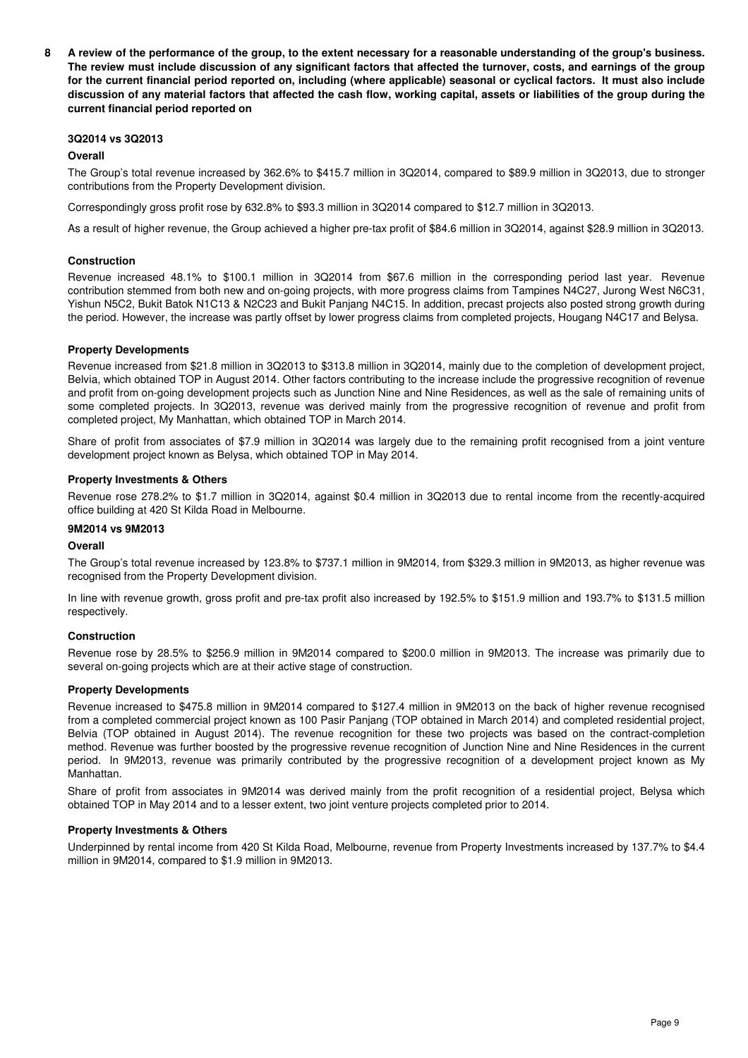**8 A review of the performance of the group, to the extent necessary for a reasonable understanding of the group's business. The review must include discussion of any significant factors that affected the turnover, costs, and earnings of the group for the current financial period reported on, including (where applicable) seasonal or cyclical factors. It must also include discussion of any material factors that affected the cash flow, working capital, assets or liabilities of the group during the current financial period reported on**

## **3Q2014 vs 3Q2013**

## **Overall**

The Group's total revenue increased by 362.6% to \$415.7 million in 3Q2014, compared to \$89.9 million in 3Q2013, due to stronger contributions from the Property Development division.

Correspondingly gross profit rose by 632.8% to \$93.3 million in 3Q2014 compared to \$12.7 million in 3Q2013.

As a result of higher revenue, the Group achieved a higher pre-tax profit of \$84.6 million in 3Q2014, against \$28.9 million in 3Q2013.

## **Construction**

Revenue increased 48.1% to \$100.1 million in 3Q2014 from \$67.6 million in the corresponding period last year. Revenue contribution stemmed from both new and on-going projects, with more progress claims from Tampines N4C27, Jurong West N6C31, Yishun N5C2, Bukit Batok N1C13 & N2C23 and Bukit Panjang N4C15. In addition, precast projects also posted strong growth during the period. However, the increase was partly offset by lower progress claims from completed projects, Hougang N4C17 and Belysa.

## **Property Developments**

Revenue increased from \$21.8 million in 3Q2013 to \$313.8 million in 3Q2014, mainly due to the completion of development project, Belvia, which obtained TOP in August 2014. Other factors contributing to the increase include the progressive recognition of revenue and profit from on-going development projects such as Junction Nine and Nine Residences, as well as the sale of remaining units of some completed projects. In 3Q2013, revenue was derived mainly from the progressive recognition of revenue and profit from completed project, My Manhattan, which obtained TOP in March 2014.

Share of profit from associates of \$7.9 million in 3Q2014 was largely due to the remaining profit recognised from a joint venture development project known as Belysa, which obtained TOP in May 2014.

## **Property Investments & Others**

Revenue rose 278.2% to \$1.7 million in 3Q2014, against \$0.4 million in 3Q2013 due to rental income from the recently-acquired office building at 420 St Kilda Road in Melbourne.

## **9M2014 vs 9M2013**

## **Overall**

The Group's total revenue increased by 123.8% to \$737.1 million in 9M2014, from \$329.3 million in 9M2013, as higher revenue was recognised from the Property Development division.

In line with revenue growth, gross profit and pre-tax profit also increased by 192.5% to \$151.9 million and 193.7% to \$131.5 million respectively.

## **Construction**

Revenue rose by 28.5% to \$256.9 million in 9M2014 compared to \$200.0 million in 9M2013. The increase was primarily due to several on-going projects which are at their active stage of construction.

## **Property Developments**

Revenue increased to \$475.8 million in 9M2014 compared to \$127.4 million in 9M2013 on the back of higher revenue recognised from a completed commercial project known as 100 Pasir Panjang (TOP obtained in March 2014) and completed residential project, Belvia (TOP obtained in August 2014). The revenue recognition for these two projects was based on the contract-completion method. Revenue was further boosted by the progressive revenue recognition of Junction Nine and Nine Residences in the current period. In 9M2013, revenue was primarily contributed by the progressive recognition of a development project known as My Manhattan.

Share of profit from associates in 9M2014 was derived mainly from the profit recognition of a residential project, Belysa which obtained TOP in May 2014 and to a lesser extent, two joint venture projects completed prior to 2014.

## **Property Investments & Others**

Underpinned by rental income from 420 St Kilda Road, Melbourne, revenue from Property Investments increased by 137.7% to \$4.4 million in 9M2014, compared to \$1.9 million in 9M2013.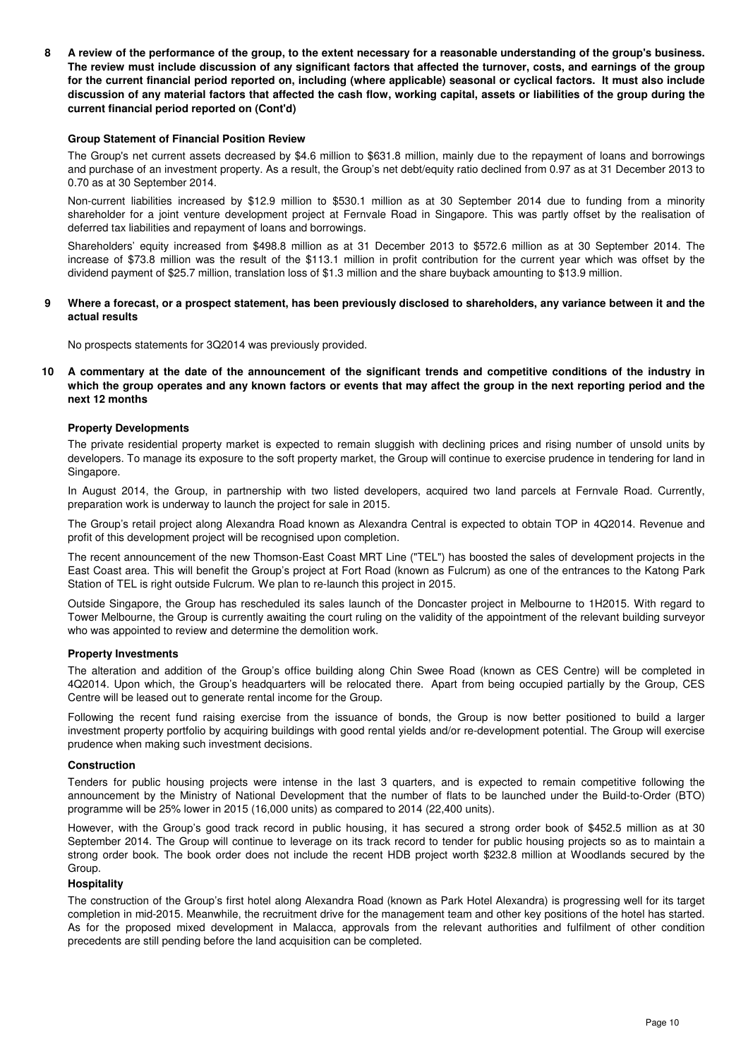**8 A review of the performance of the group, to the extent necessary for a reasonable understanding of the group's business. The review must include discussion of any significant factors that affected the turnover, costs, and earnings of the group for the current financial period reported on, including (where applicable) seasonal or cyclical factors. It must also include discussion of any material factors that affected the cash flow, working capital, assets or liabilities of the group during the current financial period reported on (Cont'd)**

#### **Group Statement of Financial Position Review**

The Group's net current assets decreased by \$4.6 million to \$631.8 million, mainly due to the repayment of loans and borrowings and purchase of an investment property. As a result, the Group's net debt/equity ratio declined from 0.97 as at 31 December 2013 to 0.70 as at 30 September 2014.

Non-current liabilities increased by \$12.9 million to \$530.1 million as at 30 September 2014 due to funding from a minority shareholder for a joint venture development project at Fernvale Road in Singapore. This was partly offset by the realisation of deferred tax liabilities and repayment of loans and borrowings.

Shareholders' equity increased from \$498.8 million as at 31 December 2013 to \$572.6 million as at 30 September 2014. The increase of \$73.8 million was the result of the \$113.1 million in profit contribution for the current year which was offset by the dividend payment of \$25.7 million, translation loss of \$1.3 million and the share buyback amounting to \$13.9 million.

#### **9 Where a forecast, or a prospect statement, has been previously disclosed to shareholders, any variance between it and the actual results**

No prospects statements for 3Q2014 was previously provided.

**10 A commentary at the date of the announcement of the significant trends and competitive conditions of the industry in which the group operates and any known factors or events that may affect the group in the next reporting period and the next 12 months** 

#### **Property Developments**

The private residential property market is expected to remain sluggish with declining prices and rising number of unsold units by developers. To manage its exposure to the soft property market, the Group will continue to exercise prudence in tendering for land in Singapore.

In August 2014, the Group, in partnership with two listed developers, acquired two land parcels at Fernvale Road. Currently, preparation work is underway to launch the project for sale in 2015.

The Group's retail project along Alexandra Road known as Alexandra Central is expected to obtain TOP in 4Q2014. Revenue and profit of this development project will be recognised upon completion.

The recent announcement of the new Thomson-East Coast MRT Line ("TEL") has boosted the sales of development projects in the East Coast area. This will benefit the Group's project at Fort Road (known as Fulcrum) as one of the entrances to the Katong Park Station of TEL is right outside Fulcrum. We plan to re-launch this project in 2015.

Outside Singapore, the Group has rescheduled its sales launch of the Doncaster project in Melbourne to 1H2015. With regard to Tower Melbourne, the Group is currently awaiting the court ruling on the validity of the appointment of the relevant building surveyor who was appointed to review and determine the demolition work.

## **Property Investments**

The alteration and addition of the Group's office building along Chin Swee Road (known as CES Centre) will be completed in 4Q2014. Upon which, the Group's headquarters will be relocated there. Apart from being occupied partially by the Group, CES Centre will be leased out to generate rental income for the Group.

Following the recent fund raising exercise from the issuance of bonds, the Group is now better positioned to build a larger investment property portfolio by acquiring buildings with good rental yields and/or re-development potential. The Group will exercise prudence when making such investment decisions.

#### **Construction**

Tenders for public housing projects were intense in the last 3 quarters, and is expected to remain competitive following the announcement by the Ministry of National Development that the number of flats to be launched under the Build-to-Order (BTO) programme will be 25% lower in 2015 (16,000 units) as compared to 2014 (22,400 units).

However, with the Group's good track record in public housing, it has secured a strong order book of \$452.5 million as at 30 September 2014. The Group will continue to leverage on its track record to tender for public housing projects so as to maintain a strong order book. The book order does not include the recent HDB project worth \$232.8 million at Woodlands secured by the Group.

## **Hospitality**

The construction of the Group's first hotel along Alexandra Road (known as Park Hotel Alexandra) is progressing well for its target completion in mid-2015. Meanwhile, the recruitment drive for the management team and other key positions of the hotel has started. As for the proposed mixed development in Malacca, approvals from the relevant authorities and fulfilment of other condition precedents are still pending before the land acquisition can be completed.